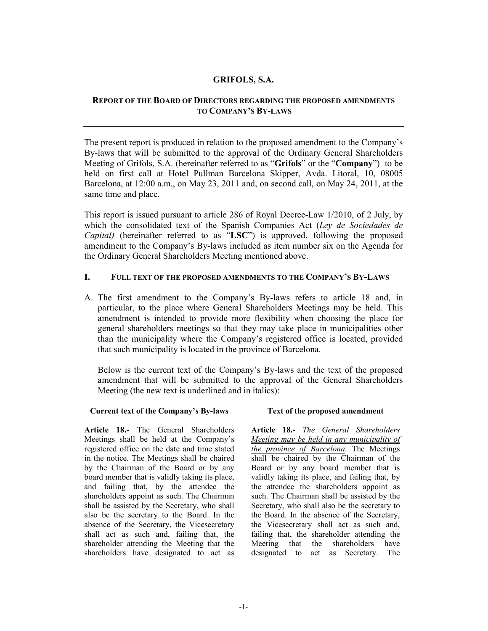# GRIFOLS, S.A.

# REPORT OF THE BOARD OF DIRECTORS REGARDING THE PROPOSED AMENDMENTS TO COMPANY'S BY-LAWS

The present report is produced in relation to the proposed amendment to the Company's By-laws that will be submitted to the approval of the Ordinary General Shareholders Meeting of Grifols, S.A. (hereinafter referred to as "Grifols" or the "Company") to be held on first call at Hotel Pullman Barcelona Skipper, Avda. Litoral, 10, 08005 Barcelona, at 12:00 a.m., on May 23, 2011 and, on second call, on May 24, 2011, at the same time and place.

This report is issued pursuant to article 286 of Royal Decree-Law 1/2010, of 2 July, by which the consolidated text of the Spanish Companies Act (Ley de Sociedades de Capital) (hereinafter referred to as "LSC") is approved, following the proposed amendment to the Company's By-laws included as item number six on the Agenda for the Ordinary General Shareholders Meeting mentioned above.

# I. FULL TEXT OF THE PROPOSED AMENDMENTS TO THE COMPANY'S BY-LAWS

A. The first amendment to the Company's By-laws refers to article 18 and, in particular, to the place where General Shareholders Meetings may be held. This amendment is intended to provide more flexibility when choosing the place for general shareholders meetings so that they may take place in municipalities other than the municipality where the Company's registered office is located, provided that such municipality is located in the province of Barcelona.

Below is the current text of the Company's By-laws and the text of the proposed amendment that will be submitted to the approval of the General Shareholders Meeting (the new text is underlined and in italics):

### Current text of the Company's By-laws Text of the proposed amendment

Article 18.- The General Shareholders Meetings shall be held at the Company's registered office on the date and time stated in the notice. The Meetings shall be chaired by the Chairman of the Board or by any board member that is validly taking its place, and failing that, by the attendee the shareholders appoint as such. The Chairman shall be assisted by the Secretary, who shall also be the secretary to the Board. In the absence of the Secretary, the Vicesecretary shall act as such and, failing that, the shareholder attending the Meeting that the shareholders have designated to act as

Article 18.- The General Shareholders Meeting may be held in any municipality of the province of Barcelona. The Meetings shall be chaired by the Chairman of the Board or by any board member that is validly taking its place, and failing that, by the attendee the shareholders appoint as such. The Chairman shall be assisted by the Secretary, who shall also be the secretary to the Board. In the absence of the Secretary, the Vicesecretary shall act as such and, failing that, the shareholder attending the Meeting that the shareholders have designated to act as Secretary. The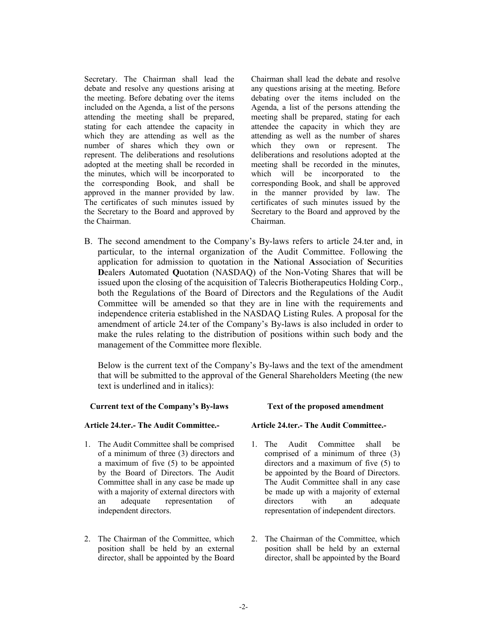Secretary. The Chairman shall lead the debate and resolve any questions arising at the meeting. Before debating over the items included on the Agenda, a list of the persons attending the meeting shall be prepared, stating for each attendee the capacity in which they are attending as well as the number of shares which they own or represent. The deliberations and resolutions adopted at the meeting shall be recorded in the minutes, which will be incorporated to the corresponding Book, and shall be approved in the manner provided by law. The certificates of such minutes issued by the Secretary to the Board and approved by the Chairman.

Chairman shall lead the debate and resolve any questions arising at the meeting. Before debating over the items included on the Agenda, a list of the persons attending the meeting shall be prepared, stating for each attendee the capacity in which they are attending as well as the number of shares which they own or represent. The deliberations and resolutions adopted at the meeting shall be recorded in the minutes, which will be incorporated to the corresponding Book, and shall be approved in the manner provided by law. The certificates of such minutes issued by the Secretary to the Board and approved by the Chairman.

B. The second amendment to the Company's By-laws refers to article 24.ter and, in particular, to the internal organization of the Audit Committee. Following the application for admission to quotation in the National Association of Securities Dealers Automated Quotation (NASDAQ) of the Non-Voting Shares that will be issued upon the closing of the acquisition of Talecris Biotherapeutics Holding Corp., both the Regulations of the Board of Directors and the Regulations of the Audit Committee will be amended so that they are in line with the requirements and independence criteria established in the NASDAQ Listing Rules. A proposal for the amendment of article 24.ter of the Company's By-laws is also included in order to make the rules relating to the distribution of positions within such body and the management of the Committee more flexible.

Below is the current text of the Company's By-laws and the text of the amendment that will be submitted to the approval of the General Shareholders Meeting (the new text is underlined and in italics):

### Current text of the Company's By-laws Text of the proposed amendment

### Article 24.ter.- The Audit Committee.- Article 24.ter.- The Audit Committee.-

- 1. The Audit Committee shall be comprised of a minimum of three (3) directors and a maximum of five (5) to be appointed by the Board of Directors. The Audit Committee shall in any case be made up with a majority of external directors with an adequate representation of independent directors.
- 2. The Chairman of the Committee, which position shall be held by an external director, shall be appointed by the Board

- 1. The Audit Committee shall be comprised of a minimum of three (3) directors and a maximum of five (5) to be appointed by the Board of Directors. The Audit Committee shall in any case be made up with a majority of external directors with an adequate representation of independent directors.
- 2. The Chairman of the Committee, which position shall be held by an external director, shall be appointed by the Board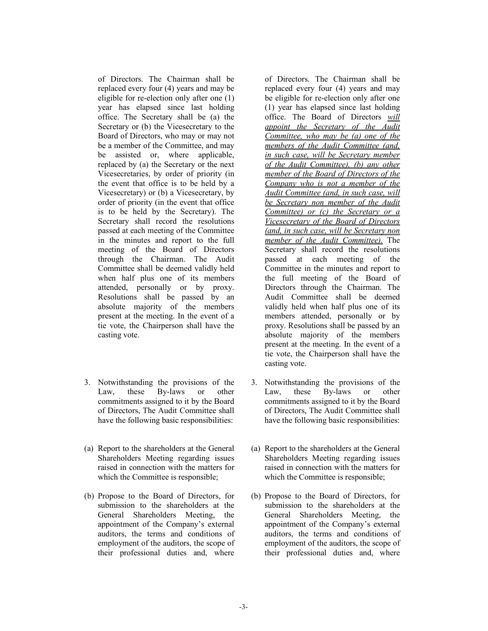of Directors. The Chairman shall be replaced every four (4) years and may be eligible for re-election only after one (1) year has elapsed since last holding office. The Secretary shall be (a) the Secretary or (b) the Vicesecretary to the Board of Directors, who may or may not be a member of the Committee, and may be assisted or, where applicable, replaced by (a) the Secretary or the next Vicesecretaries, by order of priority (in the event that office is to be held by a Vicesecretary) or (b) a Vicesecretary, by order of priority (in the event that office is to be held by the Secretary). The Secretary shall record the resolutions passed at each meeting of the Committee in the minutes and report to the full meeting of the Board of Directors through the Chairman. The Audit Committee shall be deemed validly held when half plus one of its members attended, personally or by proxy. Resolutions shall be passed by an absolute majority of the members present at the meeting. In the event of a tie vote, the Chairperson shall have the casting vote.

- 3. Notwithstanding the provisions of the Law, these By-laws or other commitments assigned to it by the Board of Directors, The Audit Committee shall have the following basic responsibilities:
- (a) Report to the shareholders at the General Shareholders Meeting regarding issues raised in connection with the matters for which the Committee is responsible;
- (b) Propose to the Board of Directors, for submission to the shareholders at the General Shareholders Meeting, the appointment of the Company's external auditors, the terms and conditions of employment of the auditors, the scope of their professional duties and, where

of Directors. The Chairman shall be replaced every four (4) years and may be eligible for re-election only after one (1) year has elapsed since last holding office. The Board of Directors will appoint the Secretary of the Audit Committee, who may be (a) one of the members of the Audit Committee (and, in such case, will be Secretary member of the Audit Committee), (b) any other member of the Board of Directors of the Company who is not a member of the Audit Committee (and, in such case, will be Secretary non member of the Audit Committee) or (c) the Secretary or a Vicesecretary of the Board of Directors (and, in such case, will be Secretary non member of the Audit Committee). The Secretary shall record the resolutions passed at each meeting of the Committee in the minutes and report to the full meeting of the Board of Directors through the Chairman. The Audit Committee shall be deemed validly held when half plus one of its members attended, personally or by proxy. Resolutions shall be passed by an absolute majority of the members present at the meeting. In the event of a tie vote, the Chairperson shall have the casting vote.

- 3. Notwithstanding the provisions of the Law, these By-laws or other commitments assigned to it by the Board of Directors, The Audit Committee shall have the following basic responsibilities:
- (a) Report to the shareholders at the General Shareholders Meeting regarding issues raised in connection with the matters for which the Committee is responsible;
- (b) Propose to the Board of Directors, for submission to the shareholders at the General Shareholders Meeting, the appointment of the Company's external auditors, the terms and conditions of employment of the auditors, the scope of their professional duties and, where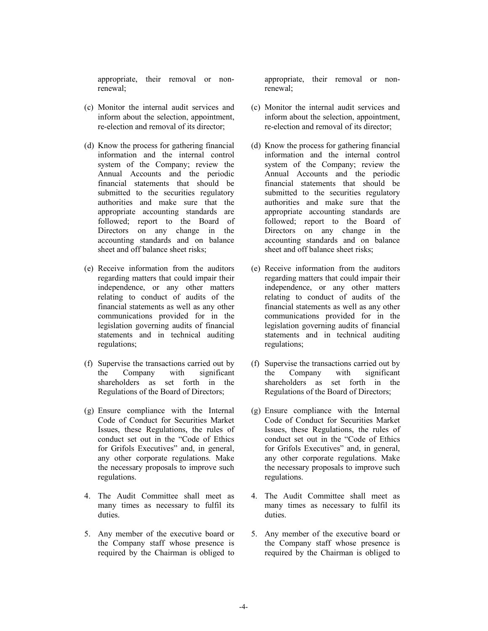appropriate, their removal or nonrenewal;

- (c) Monitor the internal audit services and inform about the selection, appointment, re-election and removal of its director;
- (d) Know the process for gathering financial information and the internal control system of the Company; review the Annual Accounts and the periodic financial statements that should be submitted to the securities regulatory authorities and make sure that the appropriate accounting standards are followed; report to the Board of Directors on any change in the accounting standards and on balance sheet and off balance sheet risks;
- (e) Receive information from the auditors regarding matters that could impair their independence, or any other matters relating to conduct of audits of the financial statements as well as any other communications provided for in the legislation governing audits of financial statements and in technical auditing regulations;
- (f) Supervise the transactions carried out by the Company with significant shareholders as set forth in the Regulations of the Board of Directors;
- (g) Ensure compliance with the Internal Code of Conduct for Securities Market Issues, these Regulations, the rules of conduct set out in the "Code of Ethics for Grifols Executives" and, in general, any other corporate regulations. Make the necessary proposals to improve such regulations.
- 4. The Audit Committee shall meet as many times as necessary to fulfil its duties.
- 5. Any member of the executive board or the Company staff whose presence is required by the Chairman is obliged to

appropriate, their removal or nonrenewal;

- (c) Monitor the internal audit services and inform about the selection, appointment, re-election and removal of its director;
- (d) Know the process for gathering financial information and the internal control system of the Company; review the Annual Accounts and the periodic financial statements that should be submitted to the securities regulatory authorities and make sure that the appropriate accounting standards are followed; report to the Board of Directors on any change in the accounting standards and on balance sheet and off balance sheet risks;
- (e) Receive information from the auditors regarding matters that could impair their independence, or any other matters relating to conduct of audits of the financial statements as well as any other communications provided for in the legislation governing audits of financial statements and in technical auditing regulations;
- (f) Supervise the transactions carried out by the Company with significant shareholders as set forth in the Regulations of the Board of Directors;
- (g) Ensure compliance with the Internal Code of Conduct for Securities Market Issues, these Regulations, the rules of conduct set out in the "Code of Ethics for Grifols Executives" and, in general, any other corporate regulations. Make the necessary proposals to improve such regulations.
- 4. The Audit Committee shall meet as many times as necessary to fulfil its duties.
- 5. Any member of the executive board or the Company staff whose presence is required by the Chairman is obliged to